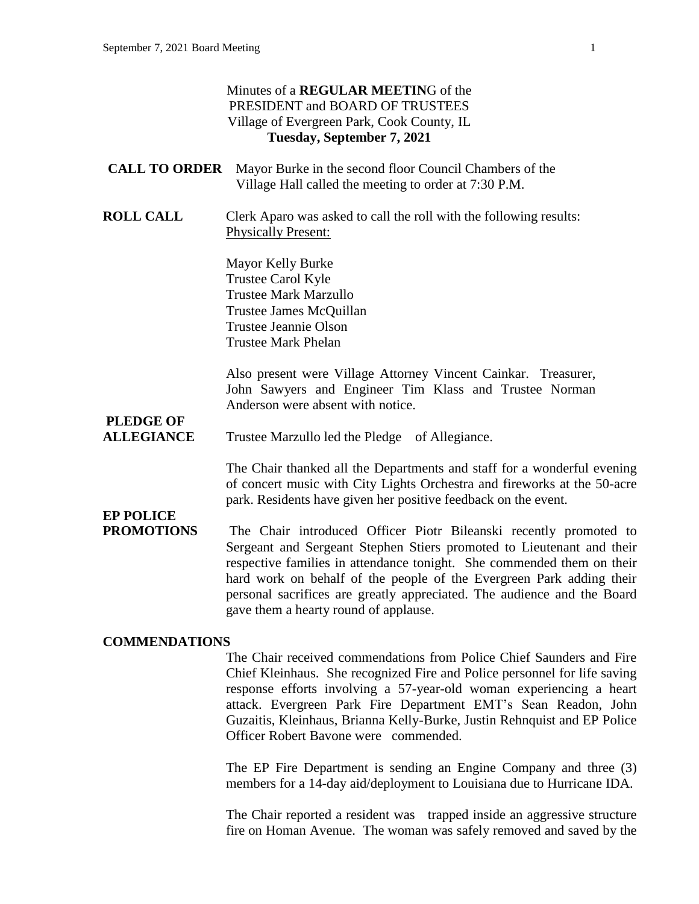|                                       | Minutes of a <b>REGULAR MEETING</b> of the<br>PRESIDENT and BOARD OF TRUSTEES<br>Village of Evergreen Park, Cook County, IL<br>Tuesday, September 7, 2021                                                                                                                                                                                                                                                        |
|---------------------------------------|------------------------------------------------------------------------------------------------------------------------------------------------------------------------------------------------------------------------------------------------------------------------------------------------------------------------------------------------------------------------------------------------------------------|
| <b>CALL TO ORDER</b>                  | Mayor Burke in the second floor Council Chambers of the<br>Village Hall called the meeting to order at 7:30 P.M.                                                                                                                                                                                                                                                                                                 |
| <b>ROLL CALL</b>                      | Clerk Aparo was asked to call the roll with the following results:<br><b>Physically Present:</b>                                                                                                                                                                                                                                                                                                                 |
|                                       | Mayor Kelly Burke<br>Trustee Carol Kyle<br><b>Trustee Mark Marzullo</b><br>Trustee James McQuillan<br><b>Trustee Jeannie Olson</b><br><b>Trustee Mark Phelan</b>                                                                                                                                                                                                                                                 |
|                                       | Also present were Village Attorney Vincent Cainkar. Treasurer,<br>John Sawyers and Engineer Tim Klass and Trustee Norman<br>Anderson were absent with notice.                                                                                                                                                                                                                                                    |
| <b>PLEDGE OF</b><br><b>ALLEGIANCE</b> | Trustee Marzullo led the Pledge of Allegiance.                                                                                                                                                                                                                                                                                                                                                                   |
|                                       | The Chair thanked all the Departments and staff for a wonderful evening<br>of concert music with City Lights Orchestra and fireworks at the 50-acre<br>park. Residents have given her positive feedback on the event.                                                                                                                                                                                            |
| <b>EP POLICE</b><br><b>PROMOTIONS</b> | The Chair introduced Officer Piotr Bileanski recently promoted to<br>Sergeant and Sergeant Stephen Stiers promoted to Lieutenant and their<br>respective families in attendance tonight. She commended them on their<br>hard work on behalf of the people of the Evergreen Park adding their<br>personal sacrifices are greatly appreciated. The audience and the Board<br>gave them a hearty round of applause. |
| <b>COMMENDATIONS</b>                  | The Chair received commendations from Police Chief Saunders and Fire<br>Chief Kleinhaus. She recognized Fire and Police personnel for life saving                                                                                                                                                                                                                                                                |

Chief Kleinhaus. She recognized Fire and Police personnel for life saving response efforts involving a 57-year-old woman experiencing a heart attack. Evergreen Park Fire Department EMT's Sean Readon, John Guzaitis, Kleinhaus, Brianna Kelly-Burke, Justin Rehnquist and EP Police Officer Robert Bavone were commended.

The EP Fire Department is sending an Engine Company and three (3) members for a 14-day aid/deployment to Louisiana due to Hurricane IDA.

The Chair reported a resident was trapped inside an aggressive structure fire on Homan Avenue. The woman was safely removed and saved by the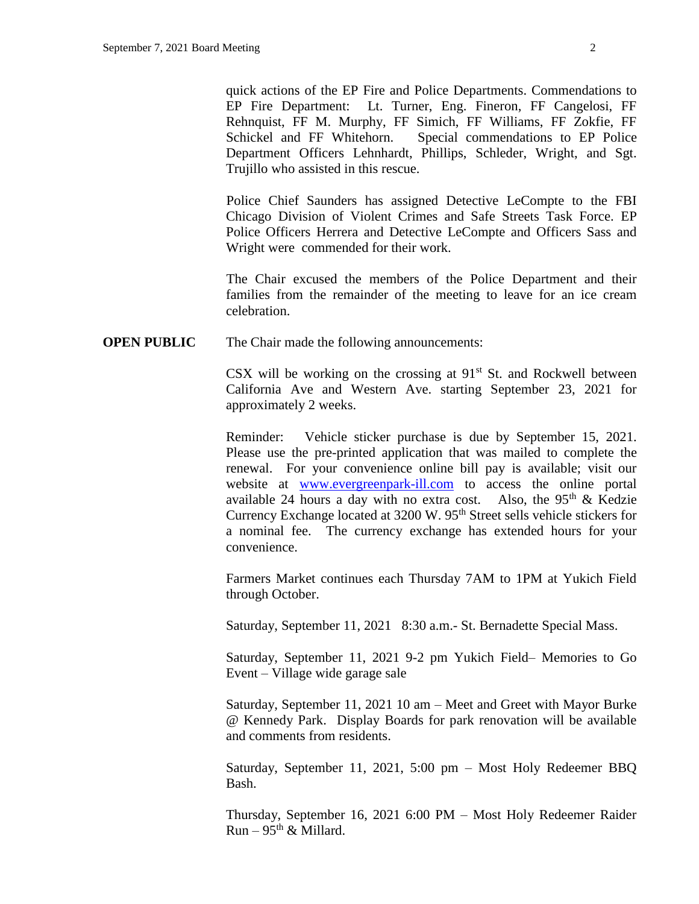quick actions of the EP Fire and Police Departments. Commendations to EP Fire Department: Lt. Turner, Eng. Fineron, FF Cangelosi, FF Rehnquist, FF M. Murphy, FF Simich, FF Williams, FF Zokfie, FF Schickel and FF Whitehorn. Special commendations to EP Police Department Officers Lehnhardt, Phillips, Schleder, Wright, and Sgt. Trujillo who assisted in this rescue.

Police Chief Saunders has assigned Detective LeCompte to the FBI Chicago Division of Violent Crimes and Safe Streets Task Force. EP Police Officers Herrera and Detective LeCompte and Officers Sass and Wright were commended for their work.

The Chair excused the members of the Police Department and their families from the remainder of the meeting to leave for an ice cream celebration.

**OPEN PUBLIC** The Chair made the following announcements:

CSX will be working on the crossing at  $91<sup>st</sup>$  St. and Rockwell between California Ave and Western Ave. starting September 23, 2021 for approximately 2 weeks.

Reminder: Vehicle sticker purchase is due by September 15, 2021. Please use the pre-printed application that was mailed to complete the renewal. For your convenience online bill pay is available; visit our website at [www.evergreenpark-ill.com](http://www.evergreenpark-ill.com/) to access the online portal available 24 hours a day with no extra cost. Also, the  $95<sup>th</sup>$  & Kedzie Currency Exchange located at 3200 W. 95<sup>th</sup> Street sells vehicle stickers for a nominal fee. The currency exchange has extended hours for your convenience.

Farmers Market continues each Thursday 7AM to 1PM at Yukich Field through October.

Saturday, September 11, 2021 8:30 a.m.- St. Bernadette Special Mass.

Saturday, September 11, 2021 9-2 pm Yukich Field– Memories to Go Event – Village wide garage sale

Saturday, September 11, 2021 10 am – Meet and Greet with Mayor Burke @ Kennedy Park. Display Boards for park renovation will be available and comments from residents.

Saturday, September 11, 2021, 5:00 pm – Most Holy Redeemer BBQ Bash.

Thursday, September 16, 2021 6:00 PM – Most Holy Redeemer Raider  $Run - 95<sup>th</sup>$  & Millard.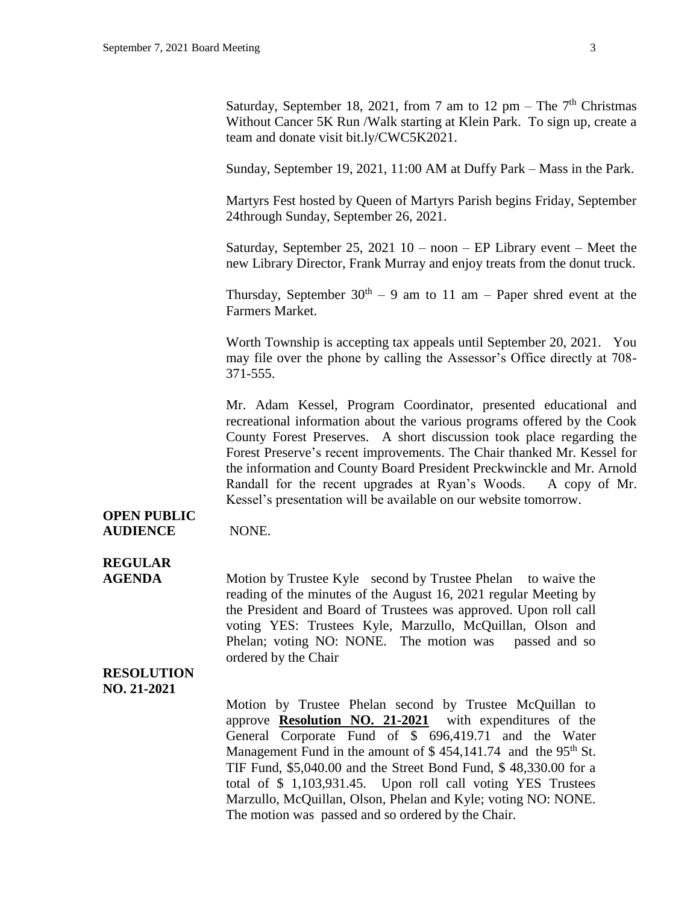Saturday, September 18, 2021, from 7 am to 12 pm – The  $7<sup>th</sup>$  Christmas Without Cancer 5K Run /Walk starting at Klein Park. To sign up, create a team and donate visit bit.ly/CWC5K2021.

Sunday, September 19, 2021, 11:00 AM at Duffy Park – Mass in the Park.

Martyrs Fest hosted by Queen of Martyrs Parish begins Friday, September 24through Sunday, September 26, 2021.

Saturday, September 25, 2021  $10 -$  noon – EP Library event – Meet the new Library Director, Frank Murray and enjoy treats from the donut truck.

Thursday, September  $30<sup>th</sup> - 9$  am to 11 am – Paper shred event at the Farmers Market.

Worth Township is accepting tax appeals until September 20, 2021. You may file over the phone by calling the Assessor's Office directly at 708- 371-555.

Mr. Adam Kessel, Program Coordinator, presented educational and recreational information about the various programs offered by the Cook County Forest Preserves. A short discussion took place regarding the Forest Preserve's recent improvements. The Chair thanked Mr. Kessel for the information and County Board President Preckwinckle and Mr. Arnold Randall for the recent upgrades at Ryan's Woods. A copy of Mr. Kessel's presentation will be available on our website tomorrow.

#### **OPEN PUBLIC AUDIENCE** NONE.

### **REGULAR**

**AGENDA** Motion by Trustee Kyle second by Trustee Phelan to waive the reading of the minutes of the August 16, 2021 regular Meeting by the President and Board of Trustees was approved. Upon roll call voting YES: Trustees Kyle, Marzullo, McQuillan, Olson and Phelan; voting NO: NONE. The motion was passed and so ordered by the Chair

#### **RESOLUTION NO. 21-2021**

Motion by Trustee Phelan second by Trustee McQuillan to approve **Resolution NO. 21-2021** with expenditures of the General Corporate Fund of \$ 696,419.71 and the Water Management Fund in the amount of  $$454,141.74$  and the 95<sup>th</sup> St. TIF Fund, \$5,040.00 and the Street Bond Fund, \$ 48,330.00 for a total of \$ 1,103,931.45. Upon roll call voting YES Trustees Marzullo, McQuillan, Olson, Phelan and Kyle; voting NO: NONE. The motion was passed and so ordered by the Chair.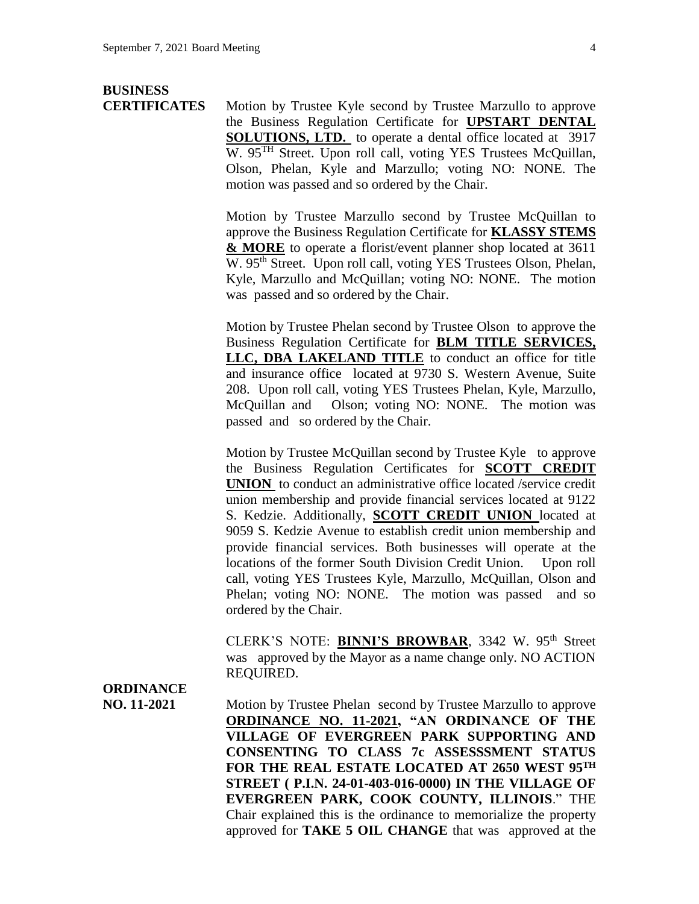# **BUSINESS**

**CERTIFICATES** Motion by Trustee Kyle second by Trustee Marzullo to approve the Business Regulation Certificate for **UPSTART DENTAL SOLUTIONS, LTD.** to operate a dental office located at 3917 W. 95<sup>TH</sup> Street. Upon roll call, voting YES Trustees McQuillan, Olson, Phelan, Kyle and Marzullo; voting NO: NONE. The motion was passed and so ordered by the Chair.

> Motion by Trustee Marzullo second by Trustee McQuillan to approve the Business Regulation Certificate for **KLASSY STEMS & MORE** to operate a florist/event planner shop located at 3611 W. 95<sup>th</sup> Street. Upon roll call, voting YES Trustees Olson, Phelan, Kyle, Marzullo and McQuillan; voting NO: NONE. The motion was passed and so ordered by the Chair.

> Motion by Trustee Phelan second by Trustee Olson to approve the Business Regulation Certificate for **BLM TITLE SERVICES, LLC, DBA LAKELAND TITLE** to conduct an office for title and insurance office located at 9730 S. Western Avenue, Suite 208. Upon roll call, voting YES Trustees Phelan, Kyle, Marzullo, McQuillan and Olson; voting NO: NONE. The motion was passed and so ordered by the Chair.

> Motion by Trustee McQuillan second by Trustee Kyle to approve the Business Regulation Certificates for **SCOTT CREDIT UNION** to conduct an administrative office located /service credit union membership and provide financial services located at 9122 S. Kedzie. Additionally, **SCOTT CREDIT UNION** located at 9059 S. Kedzie Avenue to establish credit union membership and provide financial services. Both businesses will operate at the locations of the former South Division Credit Union. Upon roll call, voting YES Trustees Kyle, Marzullo, McQuillan, Olson and Phelan; voting NO: NONE. The motion was passed and so ordered by the Chair.

> CLERK'S NOTE: **BINNI'S BROWBAR**, 3342 W. 95<sup>th</sup> Street was approved by the Mayor as a name change only. NO ACTION REQUIRED.

### **ORDINANCE**

**NO. 11-2021** Motion by Trustee Phelan second by Trustee Marzullo to approve **ORDINANCE NO. 11-2021, "AN ORDINANCE OF THE VILLAGE OF EVERGREEN PARK SUPPORTING AND CONSENTING TO CLASS 7c ASSESSSMENT STATUS FOR THE REAL ESTATE LOCATED AT 2650 WEST 95TH STREET ( P.I.N. 24-01-403-016-0000) IN THE VILLAGE OF EVERGREEN PARK, COOK COUNTY, ILLINOIS**." THE Chair explained this is the ordinance to memorialize the property approved for **TAKE 5 OIL CHANGE** that was approved at the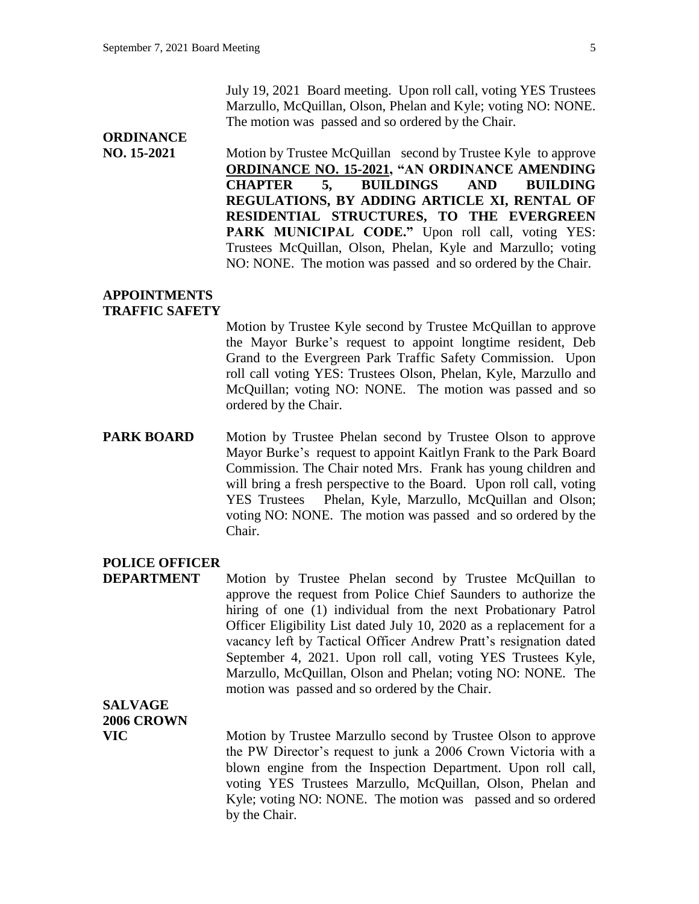## **ORDINANCE**

**NO. 15-2021** Motion by Trustee McQuillan second by Trustee Kyle to approve **ORDINANCE NO. 15-2021, "AN ORDINANCE AMENDING CHAPTER 5, BUILDINGS AND BUILDING REGULATIONS, BY ADDING ARTICLE XI, RENTAL OF RESIDENTIAL STRUCTURES, TO THE EVERGREEN**  PARK MUNICIPAL CODE." Upon roll call, voting YES: Trustees McQuillan, Olson, Phelan, Kyle and Marzullo; voting NO: NONE. The motion was passed and so ordered by the Chair.

#### **APPOINTMENTS TRAFFIC SAFETY**

Motion by Trustee Kyle second by Trustee McQuillan to approve the Mayor Burke's request to appoint longtime resident, Deb Grand to the Evergreen Park Traffic Safety Commission. Upon roll call voting YES: Trustees Olson, Phelan, Kyle, Marzullo and McQuillan; voting NO: NONE. The motion was passed and so ordered by the Chair.

**PARK BOARD** Motion by Trustee Phelan second by Trustee Olson to approve Mayor Burke's request to appoint Kaitlyn Frank to the Park Board Commission. The Chair noted Mrs. Frank has young children and will bring a fresh perspective to the Board. Upon roll call, voting YES Trustees Phelan, Kyle, Marzullo, McQuillan and Olson; voting NO: NONE. The motion was passed and so ordered by the Chair.

#### **POLICE OFFICER**

**DEPARTMENT** Motion by Trustee Phelan second by Trustee McQuillan to approve the request from Police Chief Saunders to authorize the hiring of one (1) individual from the next Probationary Patrol Officer Eligibility List dated July 10, 2020 as a replacement for a vacancy left by Tactical Officer Andrew Pratt's resignation dated September 4, 2021. Upon roll call, voting YES Trustees Kyle, Marzullo, McQuillan, Olson and Phelan; voting NO: NONE. The motion was passed and so ordered by the Chair.

**SALVAGE 2006 CROWN**

**VIC** Motion by Trustee Marzullo second by Trustee Olson to approve the PW Director's request to junk a 2006 Crown Victoria with a blown engine from the Inspection Department. Upon roll call, voting YES Trustees Marzullo, McQuillan, Olson, Phelan and Kyle; voting NO: NONE. The motion was passed and so ordered by the Chair.